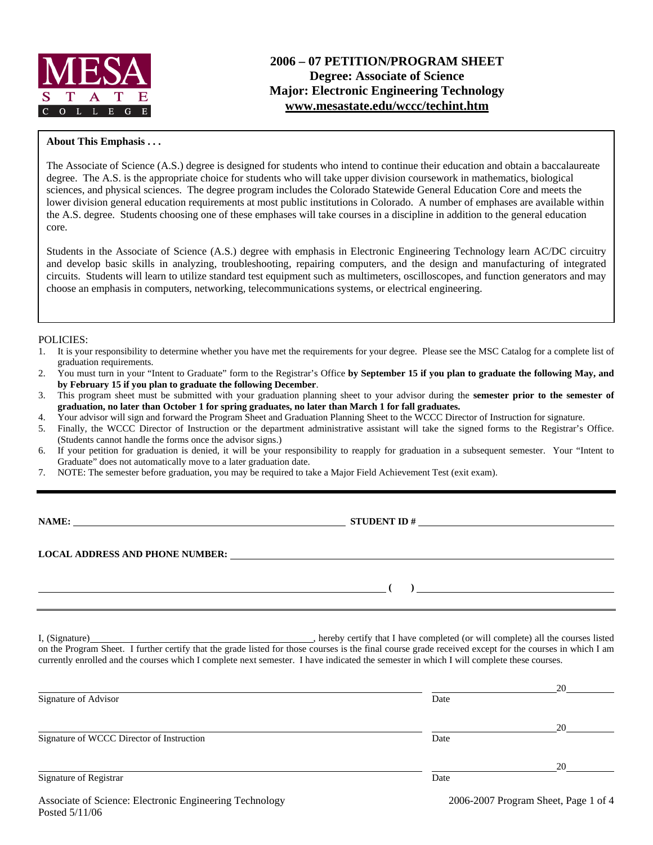

# **2006 – 07 PETITION/PROGRAM SHEET Degree: Associate of Science Major: Electronic Engineering Technology www.mesastate.edu/wccc/techint.htm**

#### **About This Emphasis . . .**

The Associate of Science (A.S.) degree is designed for students who intend to continue their education and obtain a baccalaureate degree. The A.S. is the appropriate choice for students who will take upper division coursework in mathematics, biological sciences, and physical sciences. The degree program includes the Colorado Statewide General Education Core and meets the lower division general education requirements at most public institutions in Colorado. A number of emphases are available within the A.S. degree. Students choosing one of these emphases will take courses in a discipline in addition to the general education core.

Students in the Associate of Science (A.S.) degree with emphasis in Electronic Engineering Technology learn AC/DC circuitry and develop basic skills in analyzing, troubleshooting, repairing computers, and the design and manufacturing of integrated circuits. Students will learn to utilize standard test equipment such as multimeters, oscilloscopes, and function generators and may choose an emphasis in computers, networking, telecommunications systems, or electrical engineering.

#### POLICIES:

- 1. It is your responsibility to determine whether you have met the requirements for your degree. Please see the MSC Catalog for a complete list of graduation requirements.
- 2. You must turn in your "Intent to Graduate" form to the Registrar's Office **by September 15 if you plan to graduate the following May, and by February 15 if you plan to graduate the following December**.
- 3. This program sheet must be submitted with your graduation planning sheet to your advisor during the **semester prior to the semester of graduation, no later than October 1 for spring graduates, no later than March 1 for fall graduates.**
- 4. Your advisor will sign and forward the Program Sheet and Graduation Planning Sheet to the WCCC Director of Instruction for signature.
- 5. Finally, the WCCC Director of Instruction or the department administrative assistant will take the signed forms to the Registrar's Office. (Students cannot handle the forms once the advisor signs.)
- 6. If your petition for graduation is denied, it will be your responsibility to reapply for graduation in a subsequent semester. Your "Intent to Graduate" does not automatically move to a later graduation date.
- 7. NOTE: The semester before graduation, you may be required to take a Major Field Achievement Test (exit exam).

**NAME: STUDENT ID #**

**LOCAL ADDRESS AND PHONE NUMBER:**

 **(** ) <u>\_</u>

I, (Signature) **Solution** , hereby certify that I have completed (or will complete) all the courses listed on the Program Sheet. I further certify that the grade listed for those courses is the final course grade received except for the courses in which I am currently enrolled and the courses which I complete next semester. I have indicated the semester in which I will complete these courses.

|                                                         |      | 20                                     |
|---------------------------------------------------------|------|----------------------------------------|
| Signature of Advisor                                    | Date |                                        |
|                                                         |      | 20                                     |
| Signature of WCCC Director of Instruction               | Date |                                        |
|                                                         |      | 20                                     |
| Signature of Registrar                                  | Date |                                        |
| Accordito of Coinneal Electronic Engineering Technology |      | $2006.2007$ Dreaman Sheat Dega $1.954$ |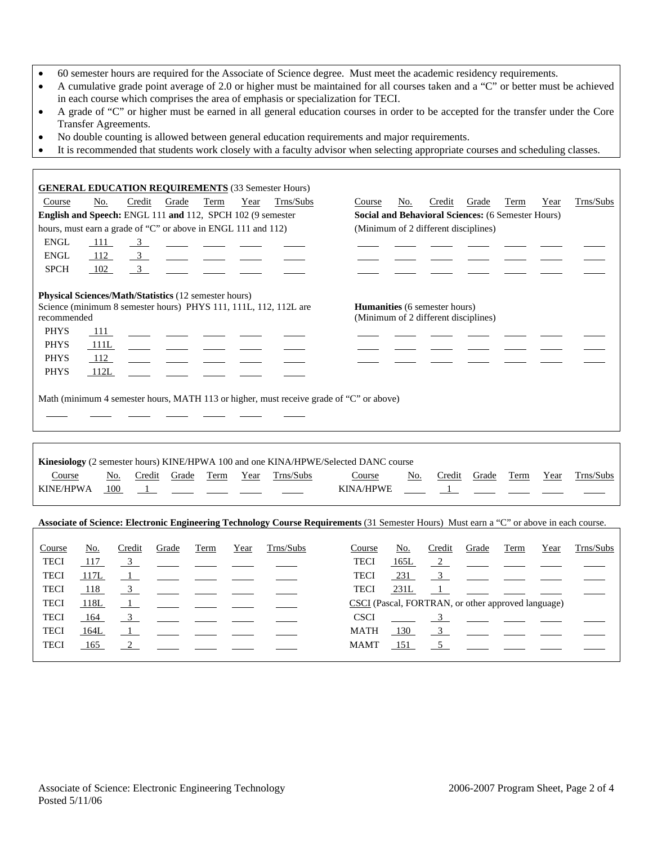- 60 semester hours are required for the Associate of Science degree. Must meet the academic residency requirements.
- A cumulative grade point average of 2.0 or higher must be maintained for all courses taken and a "C" or better must be achieved in each course which comprises the area of emphasis or specialization for TECI.
- A grade of "C" or higher must be earned in all general education courses in order to be accepted for the transfer under the Core Transfer Agreements.
- No double counting is allowed between general education requirements and major requirements.
- It is recommended that students work closely with a faculty advisor when selecting appropriate courses and scheduling classes.

|                                                               |      |                      |       |      |      | <b>GENERAL EDUCATION REQUIREMENTS</b> (33 Semester Hours)        |                                                                                                                                          |        |                                                    |       |      |      |           |
|---------------------------------------------------------------|------|----------------------|-------|------|------|------------------------------------------------------------------|------------------------------------------------------------------------------------------------------------------------------------------|--------|----------------------------------------------------|-------|------|------|-----------|
| Course                                                        | No.  | Credit               | Grade | Term | Year | Trns/Subs                                                        | Course                                                                                                                                   | No.    | Credit                                             | Grade | Term | Year | Trns/Subs |
| English and Speech: ENGL 111 and 112, SPCH 102 (9 semester    |      |                      |       |      |      |                                                                  |                                                                                                                                          |        | Social and Behavioral Sciences: (6 Semester Hours) |       |      |      |           |
| hours, must earn a grade of "C" or above in ENGL 111 and 112) |      |                      |       |      |      |                                                                  |                                                                                                                                          |        | (Minimum of 2 different disciplines)               |       |      |      |           |
| <b>ENGL</b>                                                   | 111  | $\frac{3}{2}$        |       |      |      |                                                                  |                                                                                                                                          |        |                                                    |       |      |      |           |
| <b>ENGL</b>                                                   | 112  | $\frac{3}{2}$        |       |      |      |                                                                  |                                                                                                                                          |        |                                                    |       |      |      |           |
| <b>SPCH</b>                                                   | 102  | 3 <sup>7</sup>       |       |      |      |                                                                  |                                                                                                                                          |        |                                                    |       |      |      |           |
| Physical Sciences/Math/Statistics (12 semester hours)         |      |                      |       |      |      |                                                                  |                                                                                                                                          |        |                                                    |       |      |      |           |
|                                                               |      |                      |       |      |      | Science (minimum 8 semester hours) PHYS 111, 111L, 112, 112L are |                                                                                                                                          |        | Humanities (6 semester hours)                      |       |      |      |           |
| recommended                                                   |      |                      |       |      |      |                                                                  |                                                                                                                                          |        | (Minimum of 2 different disciplines)               |       |      |      |           |
| <b>PHYS</b>                                                   | 111  |                      |       |      |      |                                                                  |                                                                                                                                          |        |                                                    |       |      |      |           |
| <b>PHYS</b>                                                   | 111L |                      |       |      |      |                                                                  |                                                                                                                                          |        |                                                    |       |      |      |           |
| <b>PHYS</b>                                                   | 112  |                      |       |      |      |                                                                  |                                                                                                                                          |        |                                                    |       |      |      |           |
| <b>PHYS</b>                                                   | 112L |                      |       |      |      |                                                                  |                                                                                                                                          |        |                                                    |       |      |      |           |
|                                                               |      |                      |       |      |      |                                                                  |                                                                                                                                          |        |                                                    |       |      |      |           |
|                                                               |      |                      |       |      |      |                                                                  | Math (minimum 4 semester hours, MATH 113 or higher, must receive grade of "C" or above)                                                  |        |                                                    |       |      |      |           |
|                                                               |      |                      |       |      |      |                                                                  |                                                                                                                                          |        |                                                    |       |      |      |           |
|                                                               |      |                      |       |      |      |                                                                  |                                                                                                                                          |        |                                                    |       |      |      |           |
|                                                               |      |                      |       |      |      |                                                                  |                                                                                                                                          |        |                                                    |       |      |      |           |
|                                                               |      |                      |       |      |      |                                                                  | Kinesiology (2 semester hours) KINE/HPWA 100 and one KINA/HPWE/Selected DANC course                                                      |        |                                                    |       |      |      |           |
| Course                                                        |      | No.<br>Credit        | Grade | Term | Year | Trns/Subs                                                        | Course                                                                                                                                   | No.    | Credit                                             | Grade | Term | Year | Trns/Subs |
| <b>KINE/HPWA</b>                                              |      | 100<br>$\frac{1}{2}$ |       |      |      |                                                                  | <b>KINA/HPWE</b>                                                                                                                         |        | $\mathbf{1}$                                       |       |      |      |           |
|                                                               |      |                      |       |      |      |                                                                  |                                                                                                                                          |        |                                                    |       |      |      |           |
|                                                               |      |                      |       |      |      |                                                                  | Associate of Science: Electronic Engineering Technology Course Requirements (31 Semester Hours) Must earn a "C" or above in each course. |        |                                                    |       |      |      |           |
|                                                               |      |                      |       |      |      |                                                                  |                                                                                                                                          |        |                                                    |       |      |      |           |
| Course                                                        | No.  | Credit               | Grade | Term | Year | Trns/Subs                                                        | Course                                                                                                                                   | No.    | Credit                                             | Grade | Term | Year | Trns/Subs |
| <b>TECI</b>                                                   | 117  | $\frac{3}{2}$        |       |      |      |                                                                  | <b>TECI</b>                                                                                                                              | 165L   | $\frac{2}{2}$                                      |       |      |      |           |
| <b>TECI</b>                                                   | 117L | $\frac{1}{2}$        |       |      |      |                                                                  | <b>TECI</b>                                                                                                                              | $-231$ | $\overline{3}$                                     |       |      |      |           |
| <b>TECI</b>                                                   | 118  | $\frac{3}{2}$        |       |      |      |                                                                  | <b>TECI</b>                                                                                                                              | 231L   | $\frac{1}{2}$                                      |       |      |      |           |
| <b>TECI</b>                                                   | 118L | $\overline{1}$       |       |      |      |                                                                  |                                                                                                                                          |        | CSCI (Pascal, FORTRAN, or other approved language) |       |      |      |           |
| <b>TECI</b>                                                   | 164  | $\overline{3}$       |       |      |      |                                                                  | <b>CSCI</b>                                                                                                                              |        | $\overline{3}$                                     |       |      |      |           |
| <b>TECI</b>                                                   | 164L | $\overline{1}$       |       |      |      |                                                                  | <b>MATH</b>                                                                                                                              | 130    | 3 <sup>7</sup>                                     |       |      |      |           |
| <b>TECI</b>                                                   | 165  | $\overline{2}$       |       |      |      |                                                                  | <b>MAMT</b>                                                                                                                              | 151    | 5                                                  |       |      |      |           |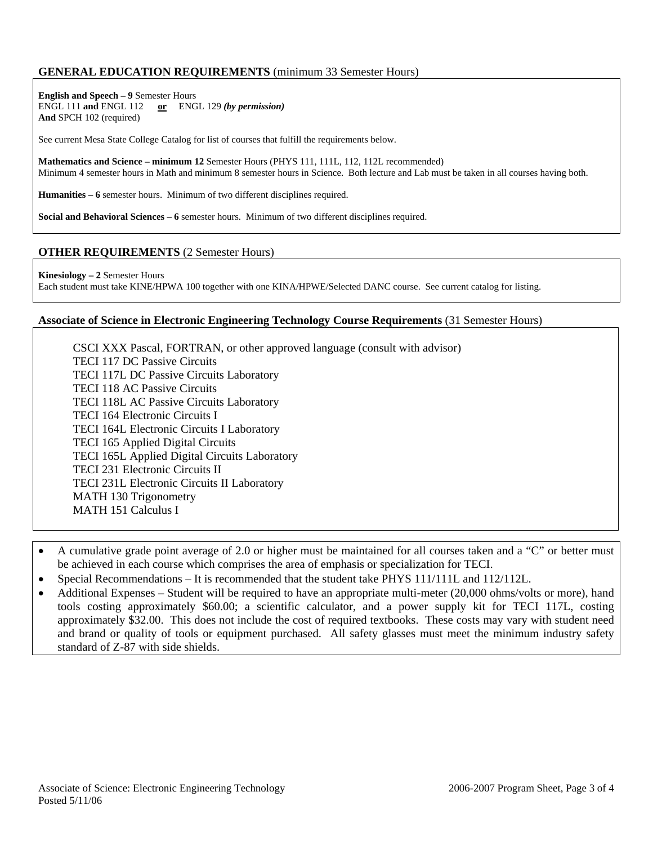### **GENERAL EDUCATION REQUIREMENTS** (minimum 33 Semester Hours)

**English and Speech – 9** Semester Hours ENGL 111 **and** ENGL 112 **or** ENGL 129 *(by permission)* **And** SPCH 102 (required)

See current Mesa State College Catalog for list of courses that fulfill the requirements below.

**Mathematics and Science – minimum 12** Semester Hours (PHYS 111, 111L, 112, 112L recommended) Minimum 4 semester hours in Math and minimum 8 semester hours in Science. Both lecture and Lab must be taken in all courses having both.

**Humanities – 6** semester hours. Minimum of two different disciplines required.

**Social and Behavioral Sciences – 6** semester hours. Minimum of two different disciplines required.

### **OTHER REQUIREMENTS** (2 Semester Hours)

**Kinesiology – 2** Semester Hours Each student must take KINE/HPWA 100 together with one KINA/HPWE/Selected DANC course. See current catalog for listing.

#### **Associate of Science in Electronic Engineering Technology Course Requirements** (31 Semester Hours)

 CSCI XXX Pascal, FORTRAN, or other approved language (consult with advisor) TECI 117 DC Passive Circuits TECI 117L DC Passive Circuits Laboratory TECI 118 AC Passive Circuits TECI 118L AC Passive Circuits Laboratory TECI 164 Electronic Circuits I TECI 164L Electronic Circuits I Laboratory TECI 165 Applied Digital Circuits TECI 165L Applied Digital Circuits Laboratory TECI 231 Electronic Circuits II TECI 231L Electronic Circuits II Laboratory MATH 130 Trigonometry MATH 151 Calculus I

- A cumulative grade point average of 2.0 or higher must be maintained for all courses taken and a "C" or better must be achieved in each course which comprises the area of emphasis or specialization for TECI.
- Special Recommendations It is recommended that the student take PHYS 111/111L and 112/112L.
- Additional Expenses Student will be required to have an appropriate multi-meter (20,000 ohms/volts or more), hand tools costing approximately \$60.00; a scientific calculator, and a power supply kit for TECI 117L, costing approximately \$32.00. This does not include the cost of required textbooks. These costs may vary with student need and brand or quality of tools or equipment purchased. All safety glasses must meet the minimum industry safety standard of Z-87 with side shields.